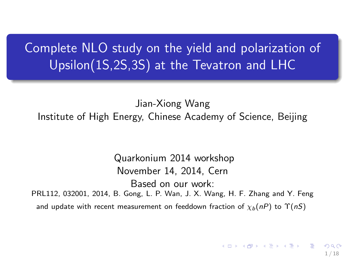# Complete NLO study on the yield and polarization of Upsilon(1S,2S,3S) at the Tevatron and LHC

Jian-Xiong Wang Institute of High Energy, Chinese Academy of Science, Beijing

<span id="page-0-0"></span>Quarkonium 2014 workshop November 14, 2014, Cern Based on our work: PRL112, 032001, 2014, B. Gong, L. P. Wan, J. X. Wang, H. F. Zhang and Y. Feng and update with recent measurement on feeddown fraction of  $\chi_b(nP)$  to  $\Upsilon(nS)$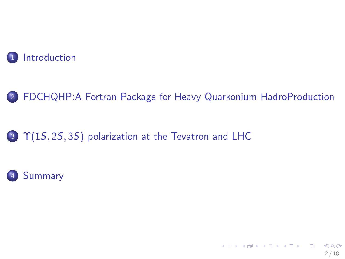



<span id="page-1-0"></span>2 / 18

K □ K K @ K K W B K K B L B X A Q Q Q

### 3  $\Upsilon(15, 25, 35)$  polarization at the Tevatron and LHC

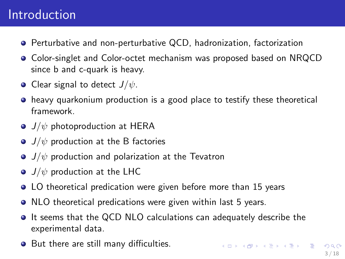# Introduction

- Perturbative and non-perturbative QCD, hadronization, factorization
- **Color-singlet and Color-octet mechanism was proposed based on NRQCD** since b and c-quark is heavy.
- Clear signal to detect  $J/\psi$ .
- heavy quarkonium production is a good place to testify these theoretical  $\bullet$ framework.
- $\bullet$  J/ $\psi$  photoproduction at HERA
- $\bullet$  J/ $\psi$  production at the B factories
- $\bullet$  J/ $\psi$  production and polarization at the Tevatron
- $\bullet$  J/ $\psi$  production at the LHC
- LO theoretical predication were given before more than 15 years
- NLO theoretical predications were given within last 5 years.
- $\bullet$  It seems that the QCD NLO calculations can adequately describe the experimental data.
- <span id="page-2-0"></span>But there are still many difficulties.  $\bullet$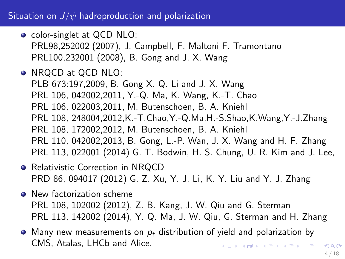#### Situation on  $J/\psi$  hadroproduction and polarization

- o color-singlet at QCD NLO: PRL98,252002 (2007), J. Campbell, F. Maltoni F. Tramontano PRL100,232001 (2008), B. Gong and J. X. Wang
- NRQCD at QCD NLO: PLB 673:197,2009, B. Gong X. Q. Li and J. X. Wang PRL 106, 042002,2011, Y.-Q. Ma, K. Wang, K.-T. Chao PRL 106, 022003,2011, M. Butenschoen, B. A. Kniehl PRL 108, 248004,2012,K.-T.Chao,Y.-Q.Ma,H.-S.Shao,K.Wang,Y.-J.Zhang PRL 108, 172002,2012, M. Butenschoen, B. A. Kniehl PRL 110, 042002,2013, B. Gong, L.-P. Wan, J. X. Wang and H. F. Zhang PRL 113, 022001 (2014) G. T. Bodwin, H. S. Chung, U. R. Kim and J. Lee,
- Relativistic Correction in NRQCD PRD 86, 094017 (2012) G. Z. Xu, Y. J. Li, K. Y. Liu and Y. J. Zhang
- **O** New factorization scheme PRL 108, 102002 (2012), Z. B. Kang, J. W. Qiu and G. Sterman PRL 113, 142002 (2014), Y. Q. Ma, J. W. Qiu, G. Sterman and H. Zhang
- $\bullet$  Many new measurements on  $p_t$  distribution of yield and polarization by CMS, Atalas, LHCb and Alice. K ロ ▶ K @ ▶ K 할 ▶ K 할 ▶ . 할 → 9 Q @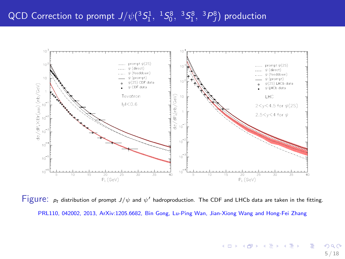

<span id="page-4-0"></span>Figure:  $p_t$  distribution of prompt  $J/\psi$  and  $\psi'$  hadroproduction. The CDF and LHCb data are taken in the fitting. PRL110, 042002, 2013, ArXiv:1205.6682, Bin Gong, Lu-Ping Wan, Jian-Xiong Wang and Hong-Fei Zhang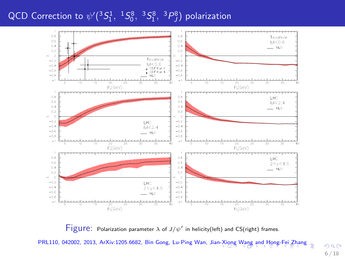# QCD Correction to  $\psi'({}^3S_1^1, {}^1S_0^8, {}^3S_1^8, {}^3P_J^8)$  polarization



Figure: Polarization parameter  $\lambda$  of  $J/\psi'$  in helicity(left) and CS(right) frames.

PRL110, 042002, 2013, ArXiv:1205.6682, Bin Gong, Lu-Ping Wan, Jia[n-Xi](#page-4-0)o[ng](#page-6-0) [W](#page-4-0)[ang](#page-5-0) [an](#page-6-0)[d](#page-1-0) [H](#page-2-0)[on](#page-8-0)[g-](#page-9-0)[Fe](#page-1-0)[i](#page-2-0) [Zh](#page-8-0)[a](#page-9-0)[ng](#page-0-0)

<span id="page-5-0"></span> $2Q$ 6 / 18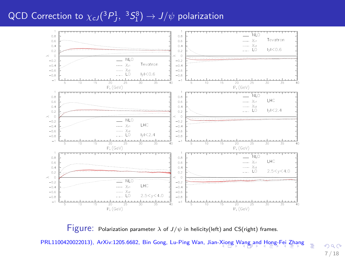## QCD Correction to  $\chi_{cJ}(^3P^1_J,\ ^3S^8_1) \rightarrow J/\psi$  polarization



Figure: Polarization parameter  $\lambda$  of  $J/\psi$  in helicity(left) and CS(right) frames.

PRL1100420022013), ArXiv:1205.6682, Bin Gong, Lu-Ping Wan, Jian-[Xio](#page-5-0)n[g W](#page-7-0)[a](#page-5-0)[ng a](#page-6-0)[nd](#page-7-0) [H](#page-1-0)[o](#page-2-0)[ng](#page-8-0)[-F](#page-9-0)[ei](#page-1-0) [Z](#page-2-0)[h](#page-8-0)[an](#page-9-0)[g](#page-0-0)

<span id="page-6-0"></span> $299$ 7 / 18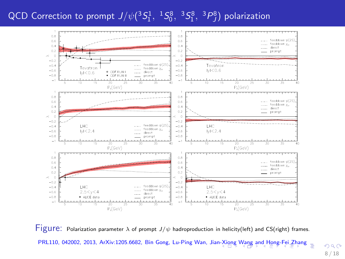### QCD Correction to prompt  $J/\psi({}^3S_1^1,{}^1S_0^8,{}^3S_1^8,{}^3P_J^8)$  polarization



Figure: Polarization parameter  $\lambda$  of prompt  $J/\psi$  hadroproduction in helicity(left) and CS(right) frames. PRL110, 042002, 2013, ArXiv:1205.6682, Bin Gong, Lu-Ping Wan, Jia[n-Xi](#page-6-0)o[ng](#page-8-0) [W](#page-6-0)[ang](#page-7-0) [an](#page-8-0)[d](#page-1-0) [H](#page-2-0)[on](#page-8-0)[g-](#page-9-0)[Fe](#page-1-0)[i](#page-2-0) [Zh](#page-8-0)[a](#page-9-0)[ng](#page-0-0) =

<span id="page-7-0"></span> $299$ 8 / 18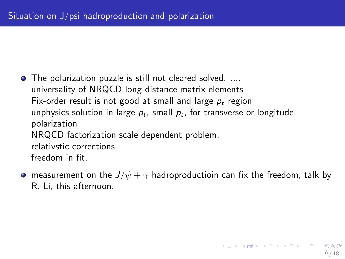- The polarization puzzle is still not cleared solved. .... universality of NRQCD long-distance matrix elements Fix-order result is not good at small and large  $p_t$  region unphysics solution in large  $\rho_t$ , small  $\rho_t$ , for transverse or longitude polarization NRQCD factorization scale dependent problem. relativstic corrections freedom in fit,
- <span id="page-8-0"></span>• measurement on the  $J/\psi + \gamma$  hadroproductioin can fix the freedom, talk by R. Li, this afternoon.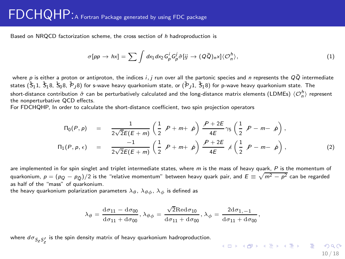## FDCHQHP:A Fortran Package generated by using FDC package

Based on NRQCD factorization scheme, the cross section of h hadroproduction is

$$
\sigma[pp \to hx] = \sum \int dx_1 dx_2 G_p^i G_p^j \hat{\sigma}[ij \to (Q\bar{Q})_n x] \langle \mathcal{O}_n^h \rangle, \tag{1}
$$

where p is either a proton or antiproton, the indices i, j run over all the partonic species and n represents the  $Q\bar{Q}$  intermediate states  $(\hat{3}_11, \hat{3}_18, \hat{5}_18, \hat{7}_18)$  for s-wave heavy quarkonium state, or  $(\hat{7}_11, \hat{3}_18)$  for p-wave heavy quarkonium state. The short-distance contribution  $\hat{\sigma}$  can be perturbatively calculated and the long-distance matrix elements (LDMEs)  $\langle \mathcal{O}_n^h \rangle$  represent the nonperturbative QCD effects.

For FDCHQHP, In order to calculate the short-distance coefficient, two spin projection operators

$$
\Pi_0(P, \rho) = \frac{1}{2\sqrt{2E(E+m)}} \left( \frac{1}{2} \rho + m + \rho \right) \frac{P + 2E}{4E} \gamma_5 \left( \frac{1}{2} \rho - m - \rho \right),
$$
  

$$
\Pi_1(P, \rho, \epsilon) = \frac{-1}{2\sqrt{2E(E+m)}} \left( \frac{1}{2} \rho + m + \rho \right) \frac{P + 2E}{4E} \measuredangle \left( \frac{1}{2} \rho - m - \rho \right),
$$
 (2)

are implemented in for spin singlet and triplet intermediate states, where  $m$  is the mass of heavy quark,  $P$  is the momentum of quarkonium,  $p=(p_Q-p_{\bar{Q}})/2$  is the "relative momentum" between heavy quark pair, and  $E\equiv\sqrt{m^2-p^2}$  can be regarded as half of the "mass" of quarkonium.

the heavy quarkonium polarization parameters  $\lambda_{\theta}$ ,  $\lambda_{\theta\phi}$ ,  $\lambda_{\phi}$  is defined as

$$
\lambda_{\theta}=\frac{\mathrm{d}\sigma_{11}-\mathrm{d}\sigma_{00}}{\mathrm{d}\sigma_{11}+\mathrm{d}\sigma_{00}}, \lambda_{\theta\phi}=\frac{\sqrt{2}\mathrm{Red}\sigma_{10}}{\mathrm{d}\sigma_{11}+\mathrm{d}\sigma_{00}}, \lambda_{\phi}=\frac{2\mathrm{d}\sigma_{1,-1}}{\mathrm{d}\sigma_{11}+\mathrm{d}\sigma_{00}},
$$

where  $d\sigma_{S_ZS_Z'}$  is the spin density matrix of heavy quarkonium hadroproduction.

<span id="page-9-0"></span>(ロ) (<mark>라</mark>) (경) (경) (경) (경) 990 10 / 18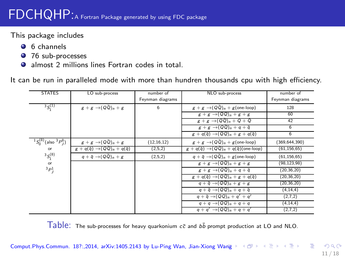This package includes

- **6** 6 channels
- 76 sub-processes
- **almost 2 millions lines Fortran codes in total.**

It can be run in paralleled mode with more than hundren thousands cpu with high efficiency.

| <b>STATES</b>                                 | LO sub-process                                            | number of        | NLO sub-process                                                       | number of        |
|-----------------------------------------------|-----------------------------------------------------------|------------------|-----------------------------------------------------------------------|------------------|
|                                               |                                                           | Feynman diagrams |                                                                       | Feynman diagrams |
| $35^{(1)}$                                    | $g+g \rightarrow (Q\overline{Q})_n+g$                     | 6                | $g + g \rightarrow (Q\bar{Q})_n + g$ (one-loop)                       | 128              |
|                                               |                                                           |                  | $g+g \rightarrow (QQ)n + g + g$                                       | 60               |
|                                               |                                                           |                  | $g+g \rightarrow (QQ)_n + Q + Q$                                      | 42               |
|                                               |                                                           |                  | $g+g \rightarrow (QQ)n + q + \overline{q}$                            | 6                |
|                                               |                                                           |                  | $g + q(\overline{q}) \rightarrow (QQ)_n + g + q(\overline{q})$        | 6                |
| ${}^{1}S_{0}^{(8)}$ (also ${}^{3}P_{I}^{8}$ ) | $g+g \rightarrow (Q\overline{Q})_n+g$                     | (12, 16, 12)     | $g + g \rightarrow (Q\overline{Q})_n + g$ (one-loop)                  | (369, 644, 390)  |
| or                                            | $g + q(\overline{q}) \rightarrow (QQ)n + q(\overline{q})$ | (2,5,2)          | $g + q(\overline{q}) \rightarrow (QQ)_n + q(\overline{q})$ (one-loop) | (61, 156, 65)    |
| $3S_1^{(8)}$                                  | $q + \overline{q} \rightarrow (Q\overline{Q})_n + g$      | (2,5,2)          | $q + \bar{q} \rightarrow (Q\bar{Q})_n + g$ (one-loop)                 | (61, 156, 65)    |
| or                                            |                                                           |                  | $g+g \rightarrow (QQ)n + g + g$                                       | (98, 123, 98)    |
| ${}^{3}P_{1}^{1}$                             |                                                           |                  | $g+g \rightarrow (Q\bar{Q})_n + q + \bar{q}$                          | (20.36.20)       |
|                                               |                                                           |                  | $g + q(\overline{q}) \rightarrow (QQ)_n + g + q(\overline{q})$        | (20, 36, 20)     |
|                                               |                                                           |                  | $q + \overline{q} \rightarrow (QQ)_n + g + g$                         | (20, 36, 20)     |
|                                               |                                                           |                  | $q + \overline{q} \rightarrow (QQ)_p + q + \overline{q}$              | (4, 14, 4)       |
|                                               |                                                           |                  | $q + \overline{q} \rightarrow (QQ)n + q' + q'$                        | (2,7,2)          |
|                                               |                                                           |                  | $q+q \rightarrow (QQ)n + q + q$                                       | (4, 14, 4)       |
|                                               |                                                           |                  | $q + q' \rightarrow (QQ)n + q + q'$                                   | (2,7,2)          |

 $Table:$  The sub-processes for heavy quarkonium  $c\bar{c}$  and  $b\bar{b}$  prompt production at LO and NLO.

Comput.Phys.Commun. 18?:,2014, arXiv:1405.2143 by Lu-Ping [Wan](#page-9-0), Jian-Xiong Wang > < (코 > < 로 > < 로 >  $QQ$ 

<span id="page-10-0"></span>11 / 18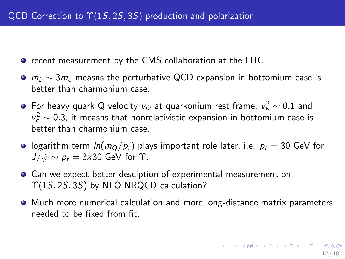- $\bullet$  recent measurement by the CMS collaboration at the LHC
- $m_b \sim 3m_c$  measns the perturbative QCD expansion in bottomium case is better than charmonium case.
- For heavy quark Q velocity  $v_Q$  at quarkonium rest frame,  $v_b^2 \sim 0.1$  and  $v_c^2 \sim 0.3$ , it measns that nonrelativistic expansion in bottomium case is better than charmonium case.
- **•** logarithm term  $ln(m_Q/p_t)$  plays important role later, i.e.  $p_t = 30$  GeV for  $J/\psi \sim p_t = 3x30$  GeV for  $\Upsilon$ .
- Can we expect better desciption of experimental measurement on Υ(1S, 2S, 3S) by NLO NRQCD calculation?
- <span id="page-11-0"></span>Much more numerical calculation and more long-distance matrix parameters needed to be fixed from fit.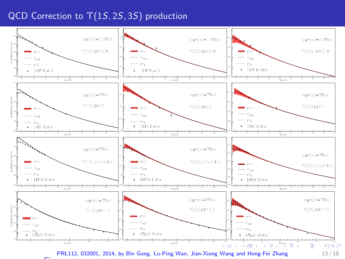#### QCD Correction to  $\Upsilon(1S, 2S, 3S)$  production

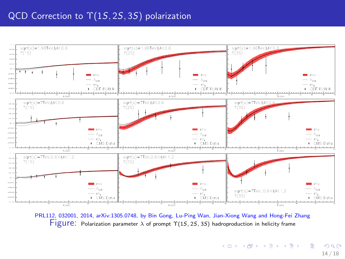

Figure: Polarization parameter  $\lambda$  of prompt  $\Upsilon(1S, 2S, 3S)$  hadroproduction in helicity frame PRL112, 032001, 2014, arXiv:1305.0748, by Bin Gong, Lu-Ping Wan, Jian-Xiong Wang and Hong-Fei Zhang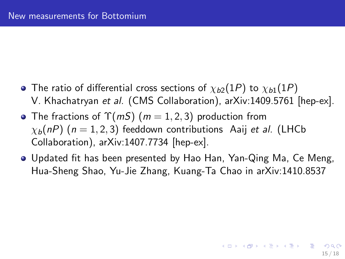- The ratio of differential cross sections of  $\chi_{b2}(1P)$  to  $\chi_{b1}(1P)$ V. Khachatryan et al. (CMS Collaboration), arXiv:1409.5761 [hep-ex].
- The fractions of  $\Upsilon(mS)$   $(m = 1, 2, 3)$  production from  $\chi_b(n)$  (n = 1, 2, 3) feeddown contributions Aaij et al. (LHCb) Collaboration), arXiv:1407.7734 [hep-ex].
- Updated fit has been presented by Hao Han, Yan-Qing Ma, Ce Meng, Hua-Sheng Shao, Yu-Jie Zhang, Kuang-Ta Chao in arXiv:1410.8537

<span id="page-14-0"></span>15 / 18

K ロ ▶ K 個 ▶ K 결 ▶ K 결 ▶ - 결 - K 이익(여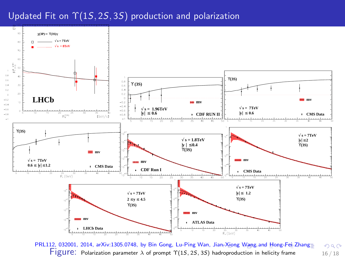#### Updated Fit on  $\Upsilon(1S, 2S, 3S)$  production and polarization



<span id="page-15-0"></span>PRL112, 032001, 2014, arXiv:1305.0748, by Bin Gong, Lu-Ping Wan, Ji[an-X](#page-14-0)i[ong](#page-16-0) [W](#page-14-0)[ang](#page-0-0) [a](#page-16-0)[nd](#page-10-0)[Ho](#page-15-0)[ng](#page-16-0)[-F](#page-10-0)[ei](#page-11-0) [Z](#page-15-0)[h](#page-16-0)ang  $298$ Figure: Polarization parameter  $\lambda$  of prompt  $\Upsilon(1S, 2S, 3S)$  hadroproduction in helicity frame 16 / 18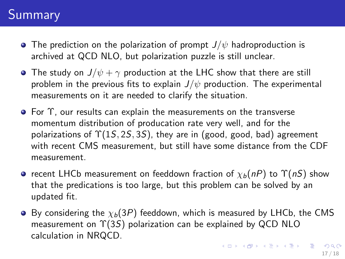# Summary

- **•** The prediction on the polarization of prompt  $J/\psi$  hadroproduction is archived at QCD NLO, but polarization puzzle is still unclear.
- The study on  $J/\psi + \gamma$  production at the LHC show that there are still problem in the previous fits to explain  $J/\psi$  production. The experimental measurements on it are needed to clarify the situation.
- For Υ, our results can explain the measurements on the transverse momentum distribution of producation rate very well, and for the polarizations of  $\Upsilon(15, 25, 35)$ , they are in (good, good, bad) agreement with recent CMS measurement, but still have some distance from the CDF measurement.
- **•** recent LHCb measurement on feeddown fraction of  $\chi_b(nP)$  to  $\Upsilon(nS)$  show that the predications is too large, but this problem can be solved by an updated fit.
- <span id="page-16-0"></span> $\bullet$  By considering the  $\chi_b(3P)$  feeddown, which is measured by LHCb, the CMS measurement on  $\Upsilon(3S)$  polarization can be explained by QCD NLO calculation in NRQCD.